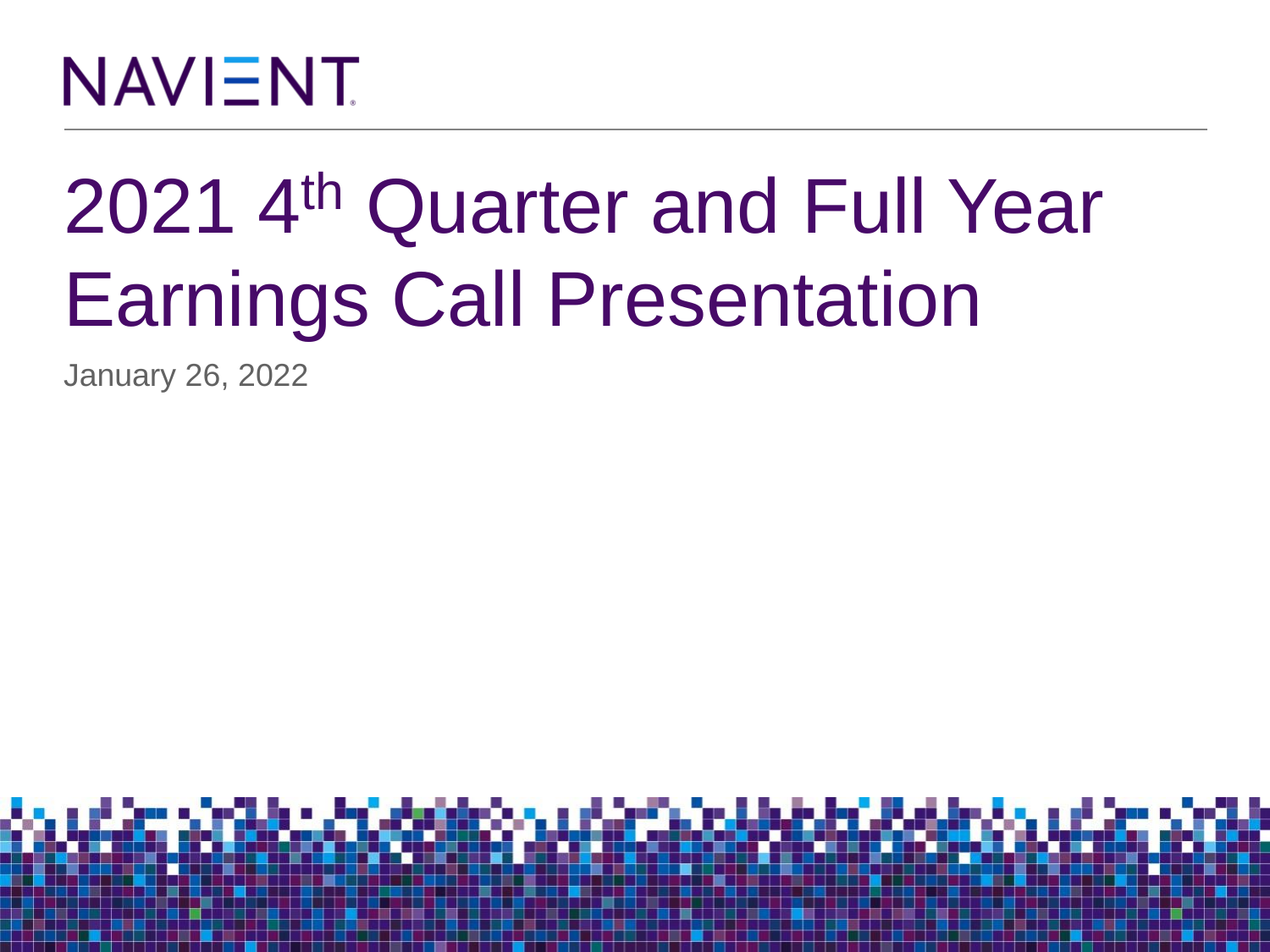## NAVIENT

# 2021 4th Quarter and Full Year Earnings Call Presentation

January 26, 2022

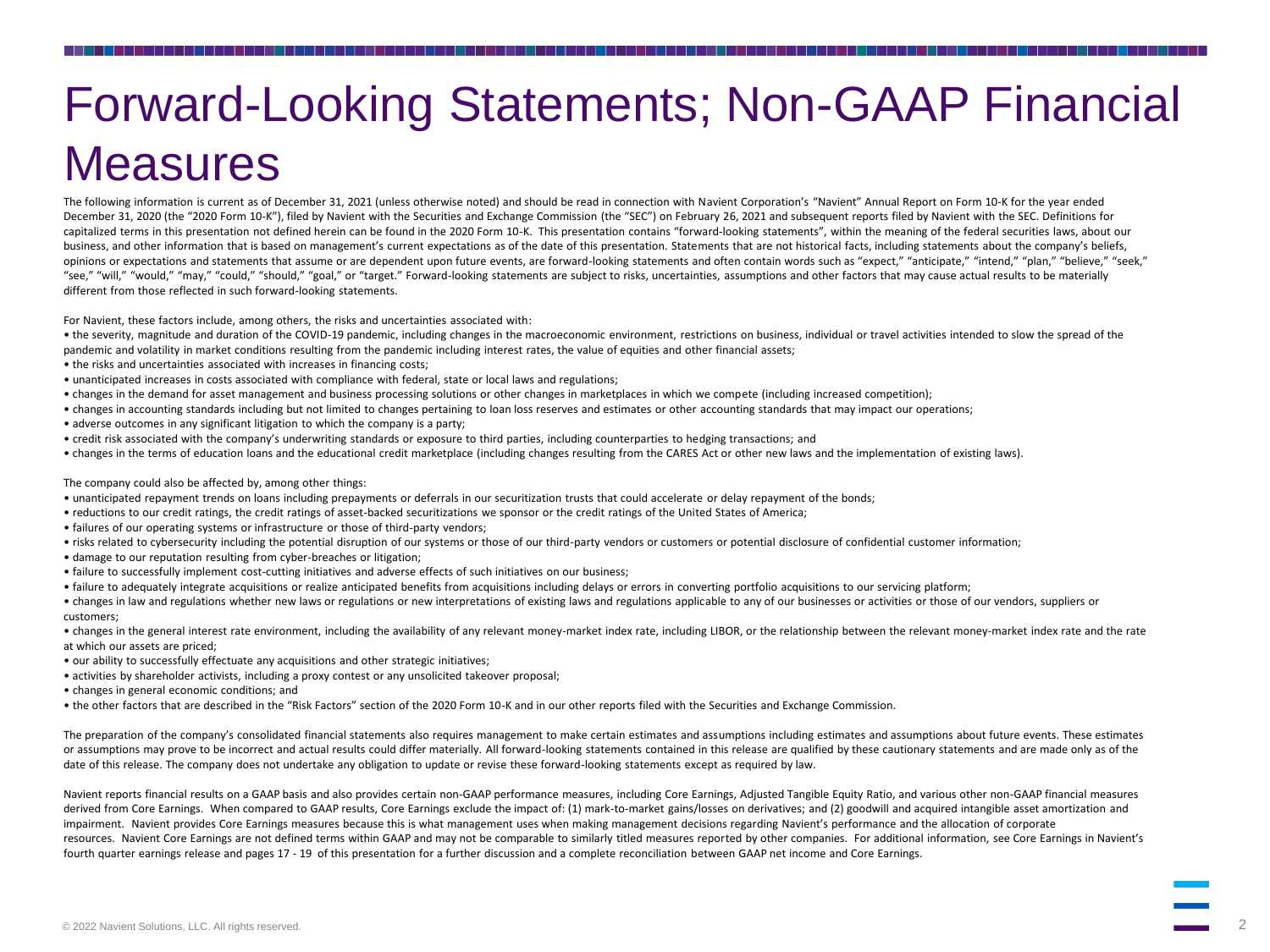## Forward-Looking Statements; Non-GAAP Financial **Measures**

The following information is current as of December 31, 2021 (unless otherwise noted) and should be read in connection with Navient Corporation's "Navient" Annual Report on Form 10-K for the year ended December 31, 2020 (the "2020 Form 10-K"), filed by Navient with the Securities and Exchange Commission (the "SEC") on February 26, 2021 and subsequent reports filed by Navient with the SEC. Definitions for capitalized terms in this presentation not defined herein can be found in the 2020 Form 10-K. This presentation contains "forward-looking statements", within the meaning of the federal securities laws, about our business, and other information that is based on management's current expectations as of the date of this presentation. Statements that are not historical facts, including statements about the company's beliefs, opinions or expectations and statements that assume or are dependent upon future events, are forward-looking statements and often contain words such as "expect," "anticipate," "intend," "plan," "believe," "seek," "see," "will," "would," "may," "could," "should," "goal," or "target." Forward-looking statements are subject to risks, uncertainties, assumptions and other factors that may cause actual results to be materially different from those reflected in such forward-looking statements.

For Navient, these factors include, among others, the risks and uncertainties associated with:

• the severity, magnitude and duration of the COVID-19 pandemic, including changes in the macroeconomic environment, restrictions on business, individual or travel activities intended to slow the spread of the pandemic and volatility in market conditions resulting from the pandemic including interest rates, the value of equities and other financial assets;

- the risks and uncertainties associated with increases in financing costs;
- unanticipated increases in costs associated with compliance with federal, state or local laws and regulations;
- changes in the demand for asset management and business processing solutions or other changes in marketplaces in which we compete (including increased competition);
- changes in accounting standards including but not limited to changes pertaining to loan loss reserves and estimates or other accounting standards that may impact our operations;
- adverse outcomes in any significant litigation to which the company is a party;
- credit risk associated with the company's underwriting standards or exposure to third parties, including counterparties to hedging transactions; and
- changes in the terms of education loans and the educational credit marketplace (including changes resulting from the CARES Act or other new laws and the implementation of existing laws).

### The company could also be affected by, among other things:

- unanticipated repayment trends on loans including prepayments or deferrals in our securitization trusts that could accelerate or delay repayment of the bonds;
- reductions to our credit ratings, the credit ratings of asset-backed securitizations we sponsor or the credit ratings of the United States of America;
- failures of our operating systems or infrastructure or those of third-party vendors;
- risks related to cybersecurity including the potential disruption of our systems or those of our third-party vendors or customers or potential disclosure of confidential customer information;
- damage to our reputation resulting from cyber-breaches or litigation;
- failure to successfully implement cost-cutting initiatives and adverse effects of such initiatives on our business;
- failure to adequately integrate acquisitions or realize anticipated benefits from acquisitions including delays or errors in converting portfolio acquisitions to our servicing platform;
- changes in law and regulations whether new laws or regulations or new interpretations of existing laws and regulations applicable to any of our businesses or activities or those of our vendors, suppliers or customers;

• changes in the general interest rate environment, including the availability of any relevant money-market index rate, including LIBOR, or the relationship between the relevant money-market index rate and the rate at which our assets are priced;

- our ability to successfully effectuate any acquisitions and other strategic initiatives;
- activities by shareholder activists, including a proxy contest or any unsolicited takeover proposal;
- changes in general economic conditions; and
- the other factors that are described in the "Risk Factors" section of the 2020 Form 10-K and in our other reports filed with the Securities and Exchange Commission.

The preparation of the company's consolidated financial statements also requires management to make certain estimates and assumptions including estimates and assumptions about future events. These estimates or assumptions may prove to be incorrect and actual results could differ materially. All forward-looking statements contained in this release are qualified by these cautionary statements and are made only as of the date of this release. The company does not undertake any obligation to update or revise these forward-looking statements except as required by law.

Navient reports financial results on a GAAP basis and also provides certain non-GAAP performance measures, including Core Earnings, Adjusted Tangible Equity Ratio, and various other non-GAAP financial measures derived from Core Earnings. When compared to GAAP results, Core Earnings exclude the impact of: (1) mark-to-market gains/losses on derivatives; and (2) goodwill and acquired intangible asset amortization and impairment. Navient provides Core Earnings measures because this is what management uses when making management decisions regarding Navient's performance and the allocation of corporate resources. Navient Core Earnings are not defined terms within GAAP and may not be comparable to similarly titled measures reported by other companies. For additional information, see Core Earnings in Navient's fourth quarter earnings release and pages 17 - 19 of this presentation for a further discussion and a complete reconciliation between GAAP net income and Core Earnings.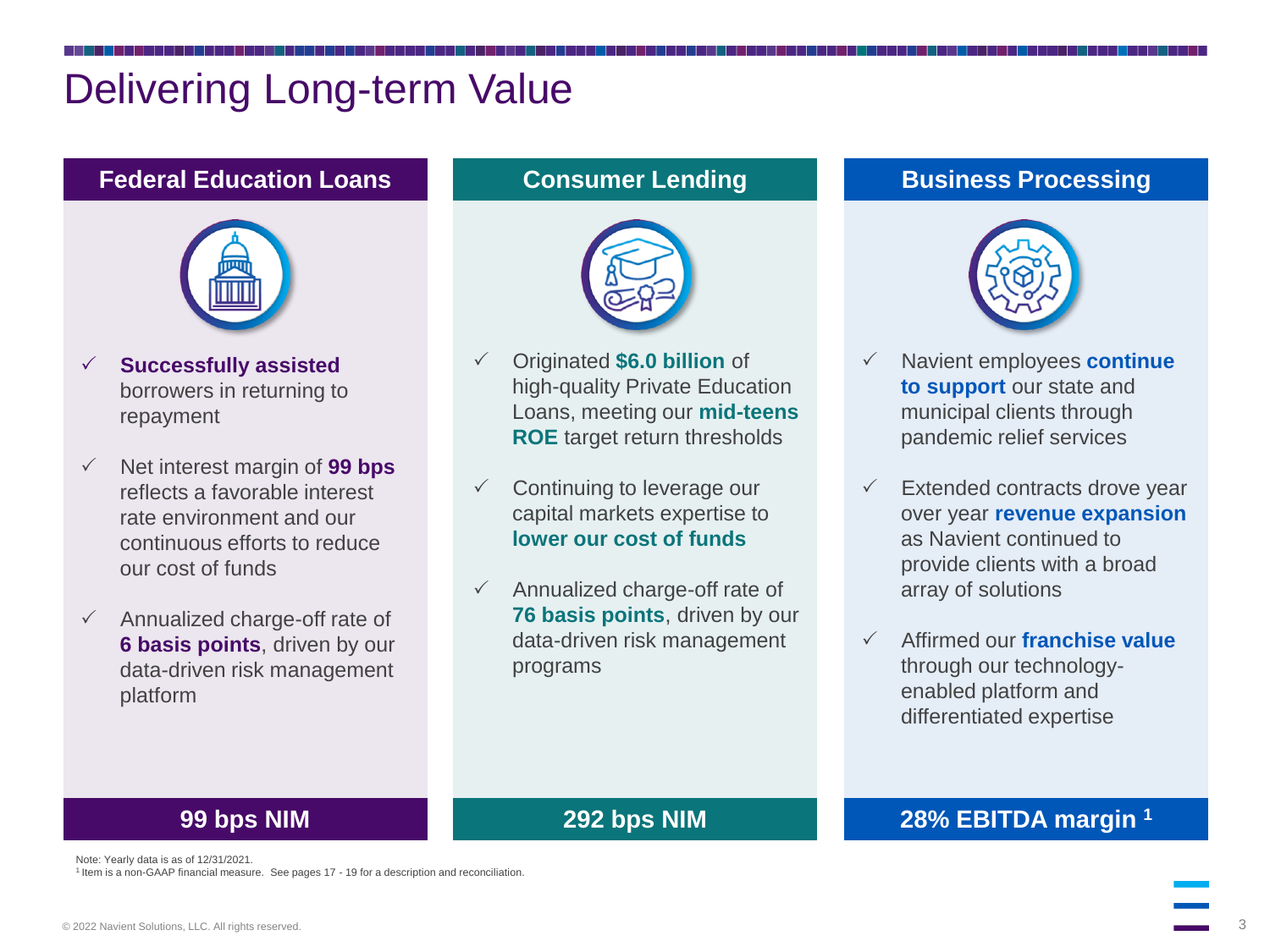## Delivering Long-term Value

## **Federal Education Loans Consumer Lending Business Processing**



- **Successfully assisted**  borrowers in returning to repayment
- Net interest margin of **99 bps** reflects a favorable interest rate environment and our continuous efforts to reduce our cost of funds
- Annualized charge-off rate of **6 basis points**, driven by our data-driven risk management platform



- Originated **\$6.0 billion** of high-quality Private Education Loans, meeting our **mid-teens ROE** target return thresholds
- $\checkmark$  Continuing to leverage our capital markets expertise to **lower our cost of funds**
- Annualized charge-off rate of **76 basis points**, driven by our data-driven risk management programs



- Navient employees **continue to support** our state and municipal clients through pandemic relief services
- Extended contracts drove year over year **revenue expansion**  as Navient continued to provide clients with a broad array of solutions
- Affirmed our **franchise value** through our technologyenabled platform and differentiated expertise

### **99 bps NIM**

### **28% EBITDA margin <sup>1</sup> 292 bps NIM**

Note: Yearly data is as of 12/31/2021.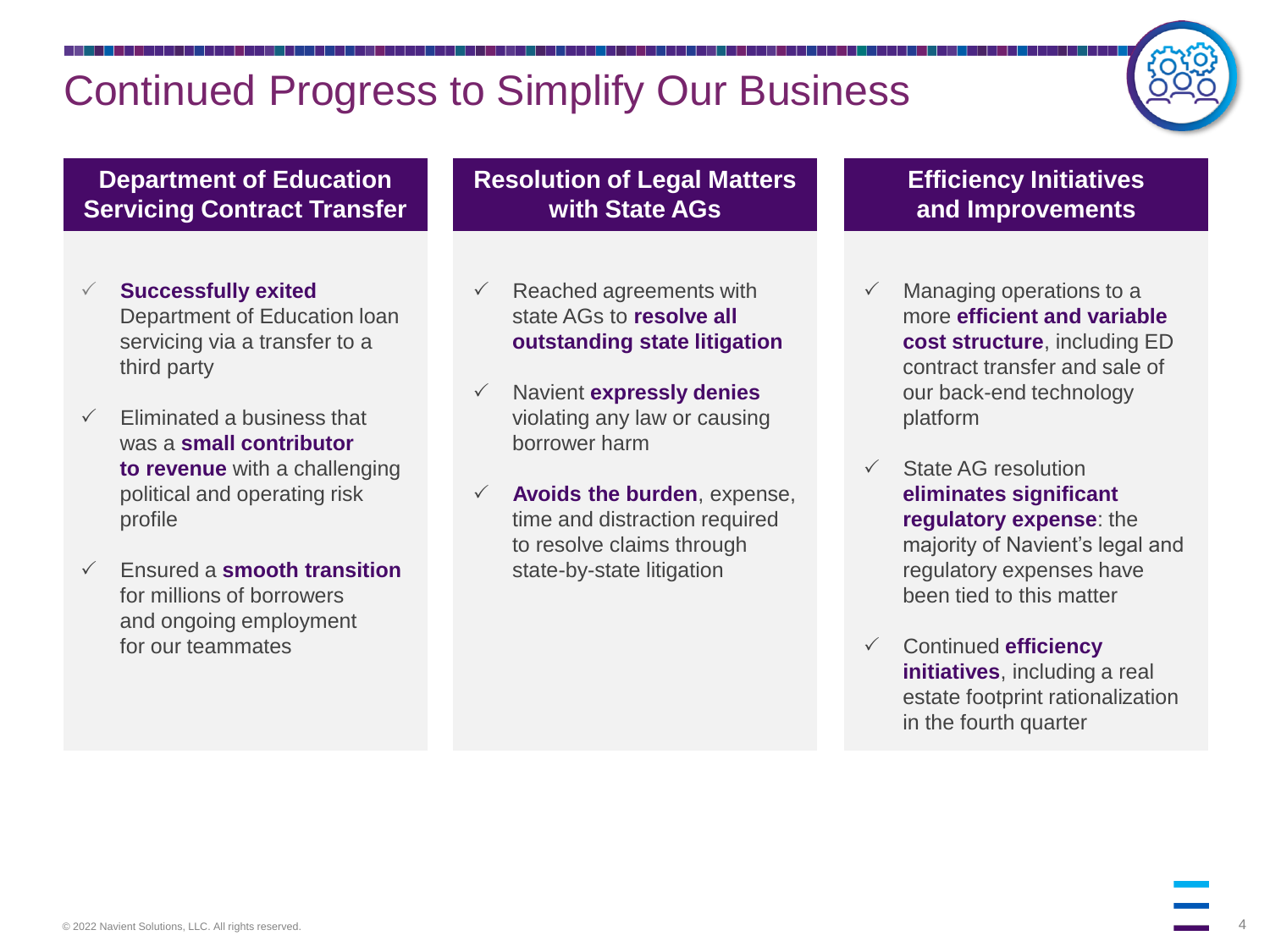## Continued Progress to Simplify Our Business

## **Department of Education Servicing Contract Transfer**

- **Successfully exited**  Department of Education loan servicing via a transfer to a third party
- Eliminated a business that was a **small contributor to revenue** with a challenging political and operating risk profile
- Ensured a **smooth transition**  for millions of borrowers and ongoing employment for our teammates

**Resolution of Legal Matters with State AGs**

- Reached agreements with state AGs to **resolve all outstanding state litigation**
- Navient **expressly denies**  violating any law or causing borrower harm
- **Avoids the burden**, expense, time and distraction required to resolve claims through state-by-state litigation

## **Efficiency Initiatives and Improvements**

- Managing operations to a more **efficient and variable cost structure**, including ED contract transfer and sale of our back-end technology platform
- $\checkmark$  State AG resolution **eliminates significant regulatory expense**: the majority of Navient's legal and regulatory expenses have been tied to this matter
- Continued **efficiency initiatives**, including a real estate footprint rationalization in the fourth quarter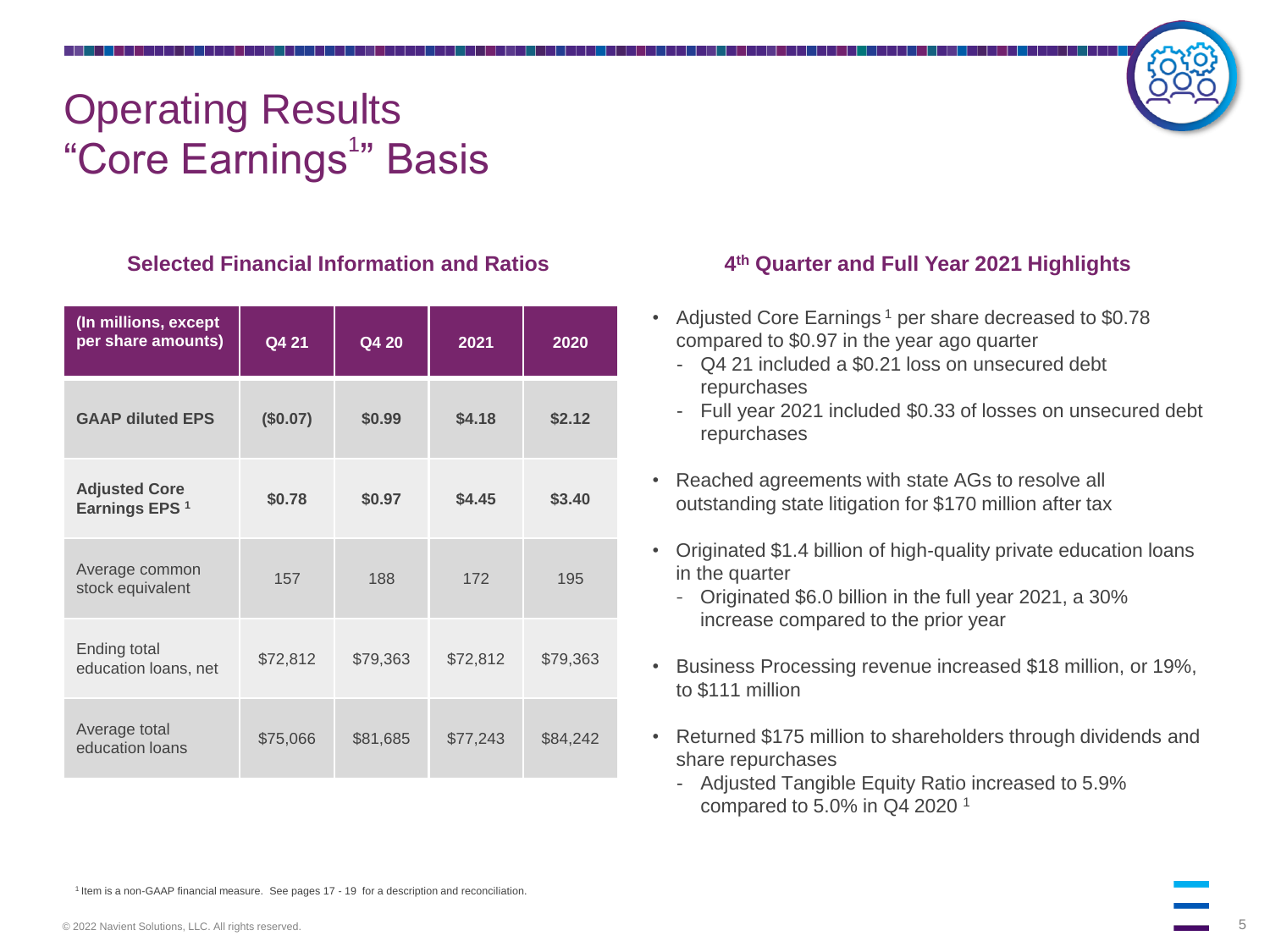## Operating Results "Core Earnings<sup>1</sup>" Basis

### **Selected Financial Information and Ratios**

| (In millions, except<br>per share amounts)        | Q4 21    | Q4 20    | 2021     | 2020     |
|---------------------------------------------------|----------|----------|----------|----------|
| <b>GAAP diluted EPS</b>                           | (\$0.07) | \$0.99   | \$4.18   | \$2.12   |
| <b>Adjusted Core</b><br>Earnings EPS <sup>1</sup> | \$0.78   | \$0.97   | \$4.45   | \$3.40   |
| Average common<br>stock equivalent                | 157      | 188      | 172      | 195      |
| Ending total<br>education loans, net              | \$72,812 | \$79,363 | \$72,812 | \$79,363 |
| Average total<br>education loans                  | \$75,066 | \$81,685 | \$77,243 | \$84,242 |

### **4 th Quarter and Full Year 2021 Highlights**

- Adjusted Core Earnings<sup>1</sup> per share decreased to \$0.78 compared to \$0.97 in the year ago quarter
	- Q4 21 included a \$0.21 loss on unsecured debt repurchases
	- Full year 2021 included \$0.33 of losses on unsecured debt repurchases
- Reached agreements with state AGs to resolve all outstanding state litigation for \$170 million after tax
- Originated \$1.4 billion of high-quality private education loans in the quarter
	- Originated \$6.0 billion in the full year 2021, a 30% increase compared to the prior year
- Business Processing revenue increased \$18 million, or 19%, to \$111 million
- Returned \$175 million to shareholders through dividends and share repurchases
	- Adjusted Tangible Equity Ratio increased to 5.9% compared to 5.0% in Q4 2020 <sup>1</sup>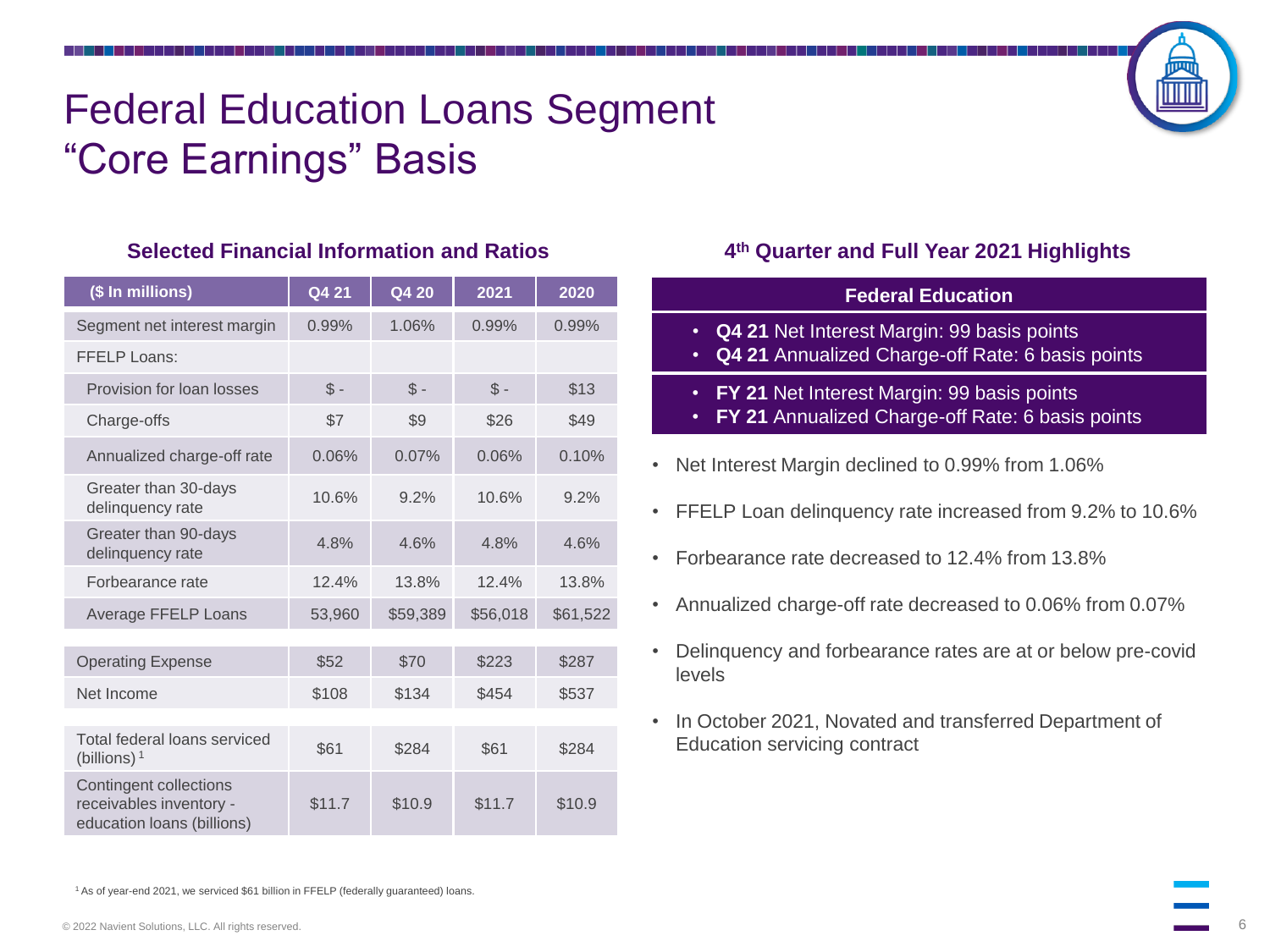## Federal Education Loans Segment "Core Earnings" Basis

### **Selected Financial Information and Ratios**

| (\$ In millions)                                                                | Q4 21  | $\overline{Q}$ 4 20 | 2021     | 2020     |
|---------------------------------------------------------------------------------|--------|---------------------|----------|----------|
| Segment net interest margin                                                     | 0.99%  | 1.06%               | 0.99%    | 0.99%    |
| FFELP Loans:                                                                    |        |                     |          |          |
| Provision for loan losses                                                       | $$ -$  | $$ -$               | $$ -$    | \$13     |
| Charge-offs                                                                     | \$7    | \$9                 | \$26     | \$49     |
| Annualized charge-off rate                                                      | 0.06%  | 0.07%               | 0.06%    | 0.10%    |
| Greater than 30-days<br>delinquency rate                                        | 10.6%  | 9.2%                | 10.6%    | 9.2%     |
| Greater than 90-days<br>delinquency rate                                        | 4.8%   | 4.6%                | 4.8%     | 4.6%     |
| Forbearance rate                                                                | 12.4%  | 13.8%               | 12.4%    | 13.8%    |
| Average FFELP Loans                                                             | 53,960 | \$59,389            | \$56,018 | \$61,522 |
|                                                                                 |        |                     |          |          |
| <b>Operating Expense</b>                                                        | \$52   | \$70                | \$223    | \$287    |
| Net Income                                                                      | \$108  | \$134               | \$454    | \$537    |
|                                                                                 |        |                     |          |          |
| Total federal loans serviced<br>(billions) $1$                                  | \$61   | \$284               | \$61     | \$284    |
| Contingent collections<br>receivables inventory -<br>education loans (billions) | \$11.7 | \$10.9              | \$11.7   | \$10.9   |

### **4 th Quarter and Full Year 2021 Highlights**

| <b>Federal Education</b>                                                                           |
|----------------------------------------------------------------------------------------------------|
| • Q4 21 Net Interest Margin: 99 basis points<br>• Q4 21 Annualized Charge-off Rate: 6 basis points |
| • FY 21 Net Interest Margin: 99 basis points<br>• FY 21 Annualized Charge-off Rate: 6 basis points |
| • Net Interest Margin declined to 0.99% from 1.06%                                                 |

- FFELP Loan delinquency rate increased from 9.2% to 10.6%
- Forbearance rate decreased to 12.4% from 13.8%
- Annualized charge-off rate decreased to 0.06% from 0.07%
- Delinquency and forbearance rates are at or below pre-covid levels
- In October 2021, Novated and transferred Department of Education servicing contract

<sup>1</sup> As of year-end 2021, we serviced \$61 billion in FFELP (federally guaranteed) loans.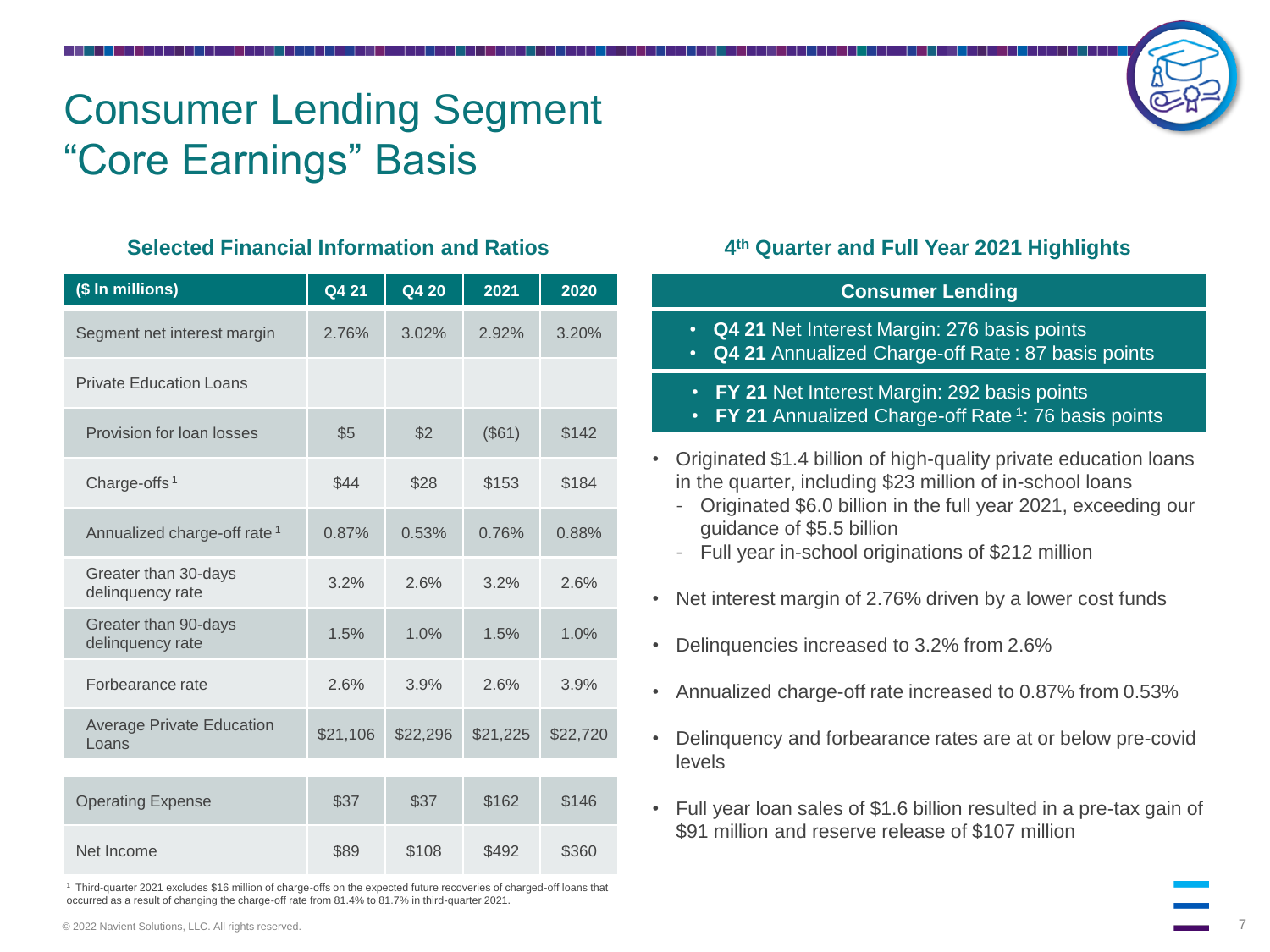## Consumer Lending Segment "Core Earnings" Basis

### **Selected Financial Information and Ratios**

| (\$ In millions)                          | Q4 21    | Q4 20    | 2021     | 2020     |
|-------------------------------------------|----------|----------|----------|----------|
| Segment net interest margin               | 2.76%    | 3.02%    | 2.92%    | 3.20%    |
| <b>Private Education Loans</b>            |          |          |          |          |
| Provision for loan losses                 | \$5      | \$2      | (\$61)   | \$142    |
| Charge-offs <sup>1</sup>                  | \$44     | \$28     | \$153    | \$184    |
| Annualized charge-off rate <sup>1</sup>   | 0.87%    | 0.53%    | 0.76%    | 0.88%    |
| Greater than 30-days<br>delinquency rate  | 3.2%     | 2.6%     | 3.2%     | 2.6%     |
| Greater than 90-days<br>delinquency rate  | 1.5%     | 1.0%     | 1.5%     | 1.0%     |
| Forbearance rate                          | 2.6%     | 3.9%     | 2.6%     | 3.9%     |
| <b>Average Private Education</b><br>Loans | \$21,106 | \$22,296 | \$21,225 | \$22,720 |
|                                           |          |          |          |          |
| <b>Operating Expense</b>                  | \$37     | \$37     | \$162    | \$146    |
| Net Income                                | \$89     | \$108    | \$492    | \$360    |

<sup>1</sup>Third-quarter 2021 excludes \$16 million of charge-offs on the expected future recoveries of charged-off loans that occurred as a result of changing the charge-off rate from 81.4% to 81.7% in third-quarter 2021.

### **4 th Quarter and Full Year 2021 Highlights**

|           | <b>Consumer Lending</b>                                                                                                                                                                                                                                                                                      |
|-----------|--------------------------------------------------------------------------------------------------------------------------------------------------------------------------------------------------------------------------------------------------------------------------------------------------------------|
|           | Q4 21 Net Interest Margin: 276 basis points<br>$\bullet$<br>Q4 21 Annualized Charge-off Rate: 87 basis points<br>$\bullet$                                                                                                                                                                                   |
|           | <b>FY 21 Net Interest Margin: 292 basis points</b><br>$\bullet$<br>FY 21 Annualized Charge-off Rate <sup>1</sup> : 76 basis points<br>$\bullet$                                                                                                                                                              |
|           | Originated \$1.4 billion of high-quality private education loans<br>in the quarter, including \$23 million of in-school loans<br>Originated \$6.0 billion in the full year 2021, exceeding our<br>guidance of \$5.5 billion<br>Full year in-school originations of \$212 million<br>$\overline{\phantom{a}}$ |
| $\bullet$ | Net interest margin of 2.76% driven by a lower cost funds                                                                                                                                                                                                                                                    |
|           | Delinquencies increased to 3.2% from 2.6%                                                                                                                                                                                                                                                                    |
|           | • Annualized charge-off rate increased to 0.87% from 0.53%                                                                                                                                                                                                                                                   |

- Delinquency and forbearance rates are at or below pre-covid levels
- Full year loan sales of \$1.6 billion resulted in a pre-tax gain of \$91 million and reserve release of \$107 million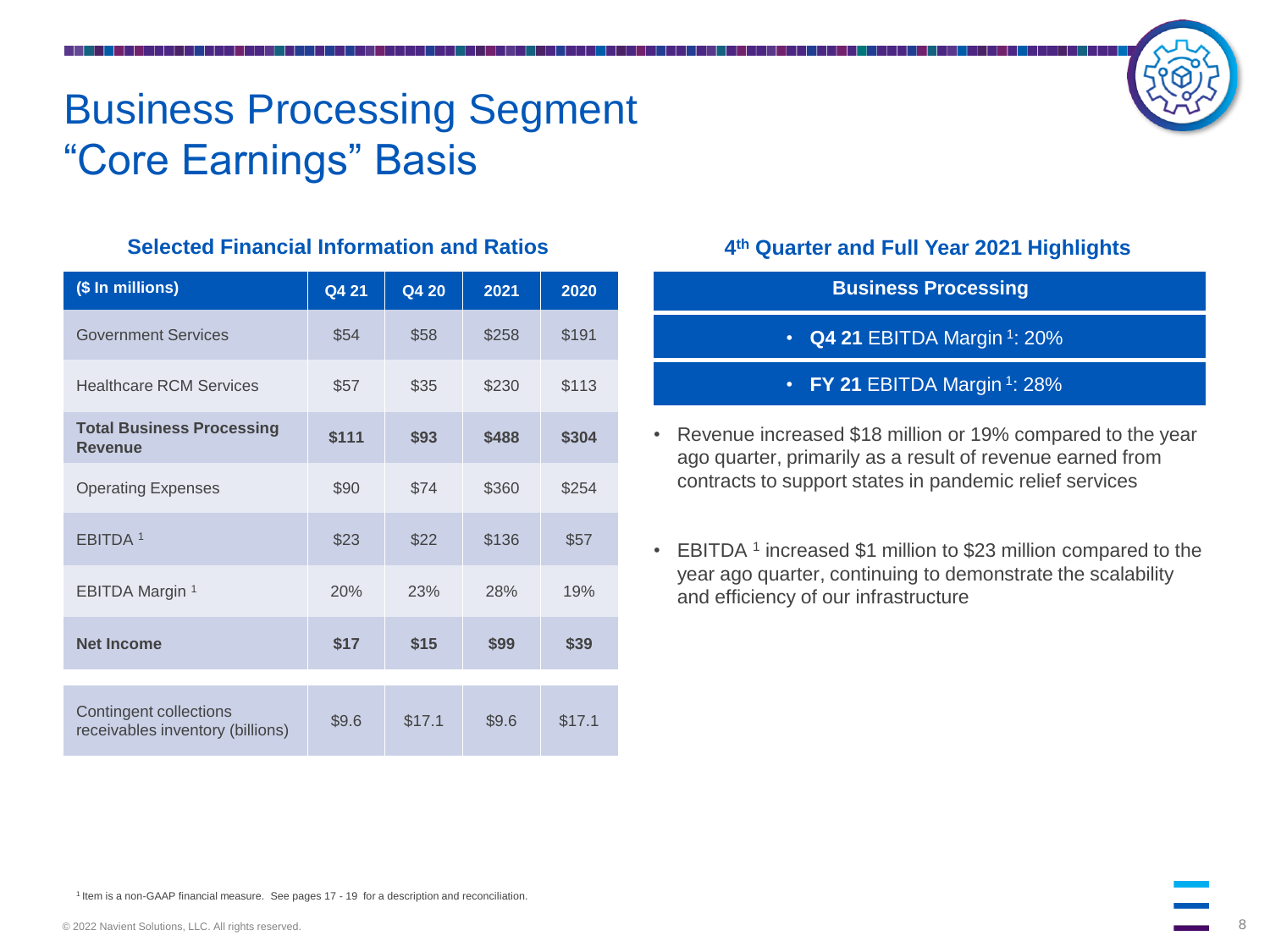## Business Processing Segment "Core Earnings" Basis

### **4 Selected Financial Information and Ratios th Quarter and Full Year 2021 Highlights**

| Q4 21 | Q4 20  | 2021  | 2020   |
|-------|--------|-------|--------|
| \$54  | \$58   | \$258 | \$191  |
| \$57  | \$35   | \$230 | \$113  |
| \$111 | \$93   | \$488 | \$304  |
| \$90  | \$74   | \$360 | \$254  |
| \$23  | \$22   | \$136 | \$57   |
| 20%   | 23%    | 28%   | 19%    |
| \$17  | \$15   | \$99  | \$39   |
|       |        |       |        |
| \$9.6 | \$17.1 | \$9.6 | \$17.1 |
|       |        |       |        |

| <b>Business Processing</b>                                                                                                                                                           |
|--------------------------------------------------------------------------------------------------------------------------------------------------------------------------------------|
| • Q4 21 EBITDA Margin $1:20\%$                                                                                                                                                       |
| • FY 21 EBITDA Margin $1:28\%$                                                                                                                                                       |
| • Revenue increased \$18 million or 19% compared to the year<br>ago quarter, primarily as a result of revenue earned from<br>contracts to support states in pandemic relief services |

• EBITDA<sup>1</sup> increased \$1 million to \$23 million compared to the year ago quarter, continuing to demonstrate the scalability and efficiency of our infrastructure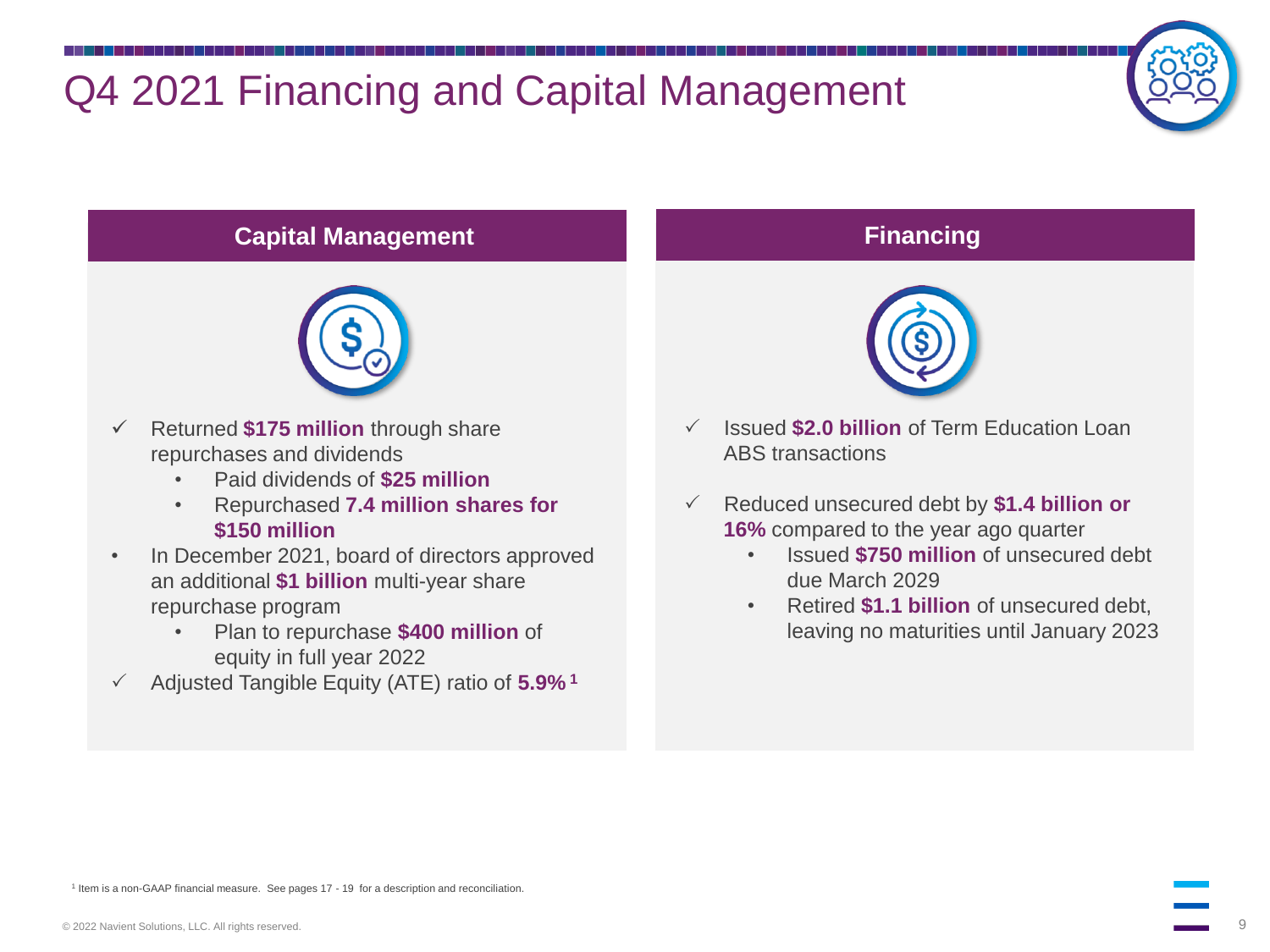## Q4 2021 Financing and Capital Management



## **Capital Management Financing**



- ✓ Returned **\$175 million** through share repurchases and dividends
	- Paid dividends of **\$25 million**
	- Repurchased **7.4 million shares for \$150 million**
- In December 2021, board of directors approved an additional **\$1 billion** multi-year share repurchase program
	- Plan to repurchase **\$400 million** of equity in full year 2022
- Adjusted Tangible Equity (ATE) ratio of **5.9% <sup>1</sup>**



- Issued **\$2.0 billion** of Term Education Loan ABS transactions
- Reduced unsecured debt by **\$1.4 billion or 16%** compared to the year ago quarter
	- Issued **\$750 million** of unsecured debt due March 2029
	- Retired **\$1.1 billion** of unsecured debt, leaving no maturities until January 2023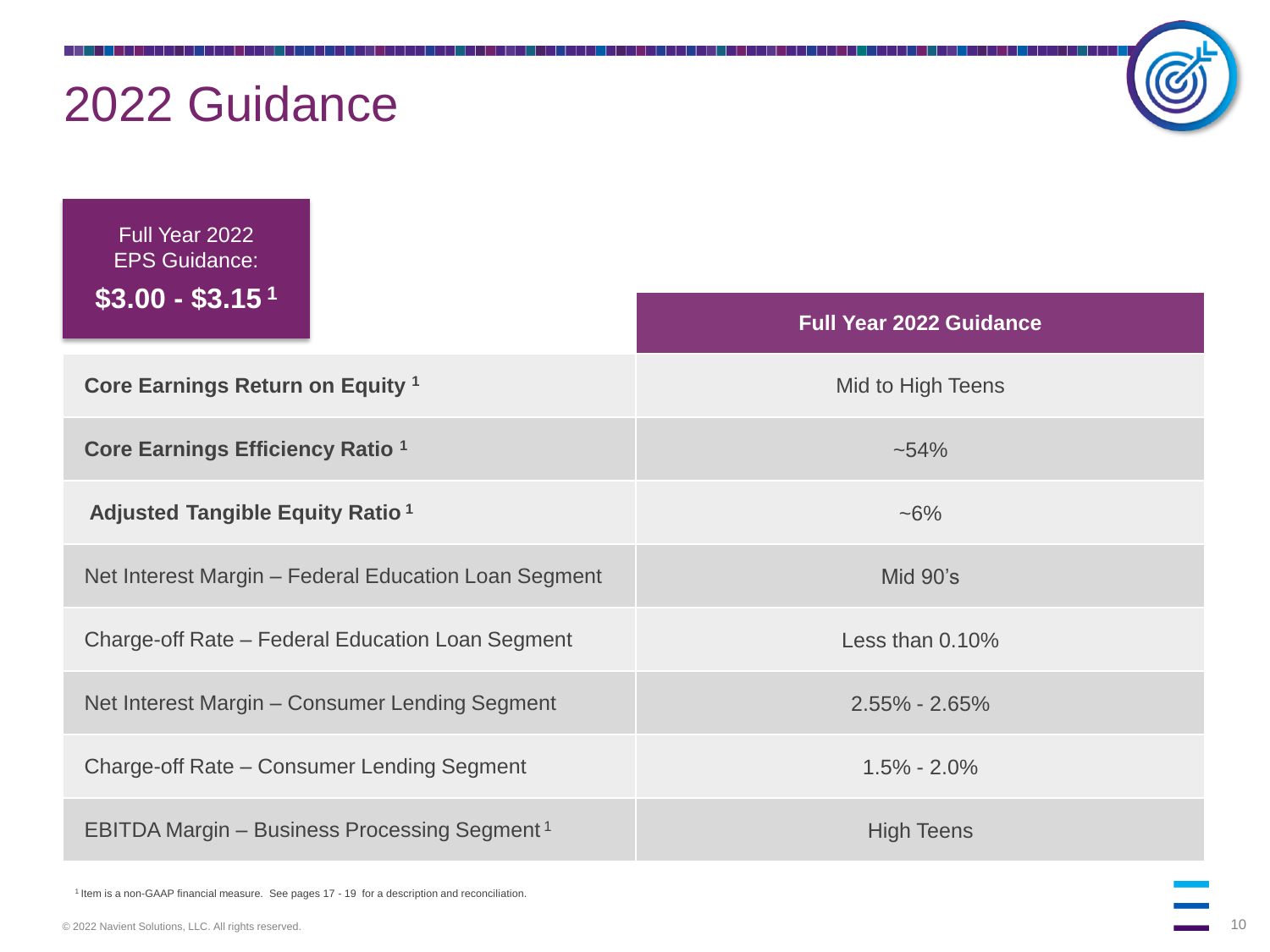## **Full Year 2022 Guidance Core Earnings Return on Equity <sup>1</sup> Mid to High Teens** Mid to High Teens **Core Earnings Efficiency Ratio <sup>1</sup>** ~54% **Adjusted Tangible Equity Ratio <sup>1</sup>** ~6% Net Interest Margin – Federal Education Loan Segment Microsoft Mid 90's Charge-off Rate – Federal Education Loan Segment Less than 0.10% Net Interest Margin – Consumer Lending Segment 2.55% - 2.65% - 2.65% Charge-off Rate – Consumer Lending Segment 1.5% - 2.0% EBITDA Margin – Business Processing Segment<sup>1</sup> Night Teens High Teens 2022 Guidance Full Year 2022 EPS Guidance: **\$3.00 - \$3.15 <sup>1</sup>**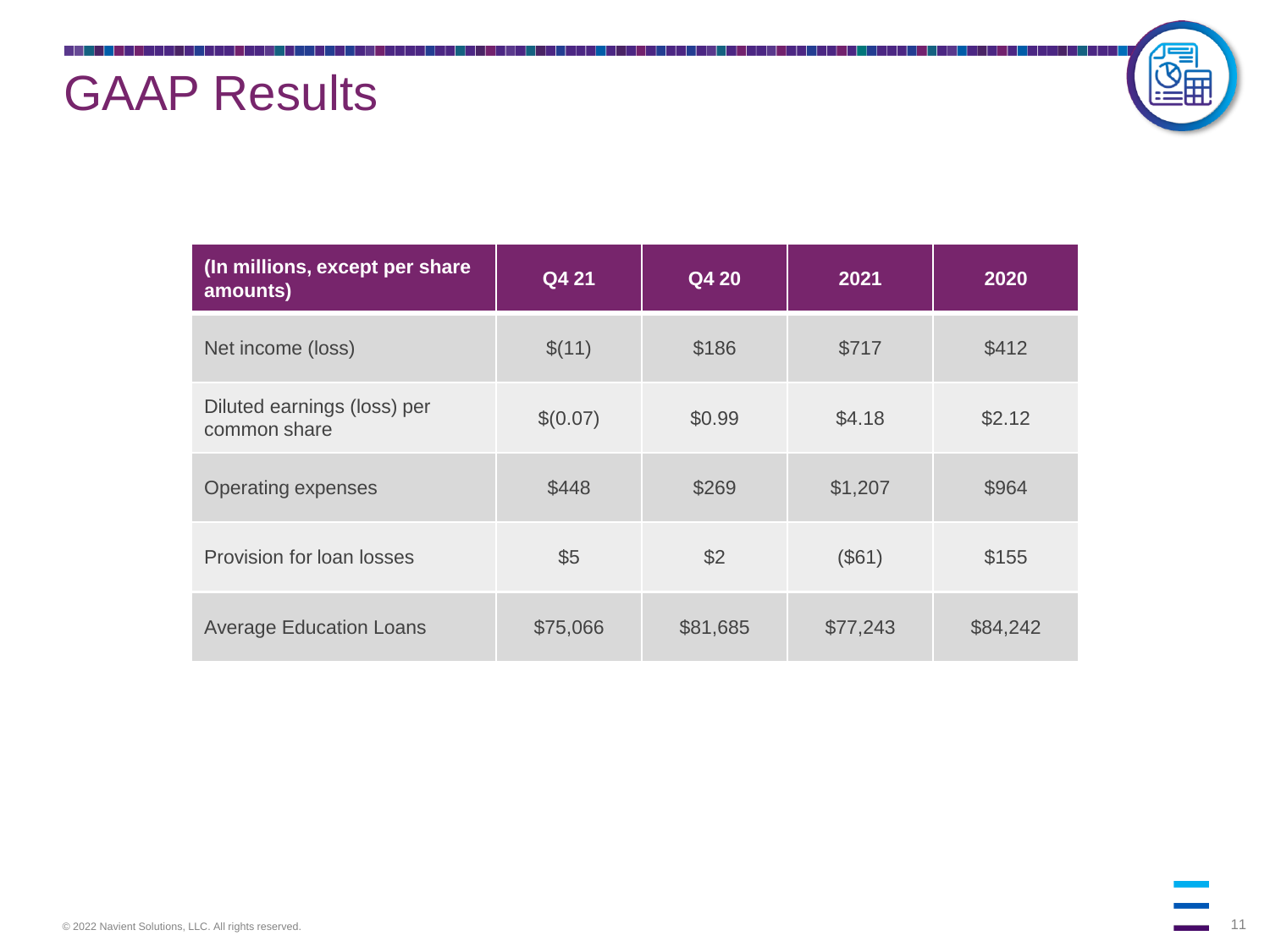GAAP Results

a kata ing kabupatèn Kabupatèn Ba



| (In millions, except per share<br>amounts)  | Q4 21              | Q4 20    | 2021     |          |
|---------------------------------------------|--------------------|----------|----------|----------|
| Net income (loss)                           | \$(11)             | \$186    | \$717    | \$412    |
| Diluted earnings (loss) per<br>common share | \$(0.07)<br>\$0.99 |          | \$4.18   | \$2.12   |
| <b>Operating expenses</b>                   | \$448              | \$269    | \$1,207  | \$964    |
| Provision for loan losses                   | \$5                | \$2      | (\$61)   | \$155    |
| <b>Average Education Loans</b>              | \$75,066           | \$81,685 | \$77,243 | \$84,242 |

<u> 1989 - Jan Barton, martxar amerikana da </u>

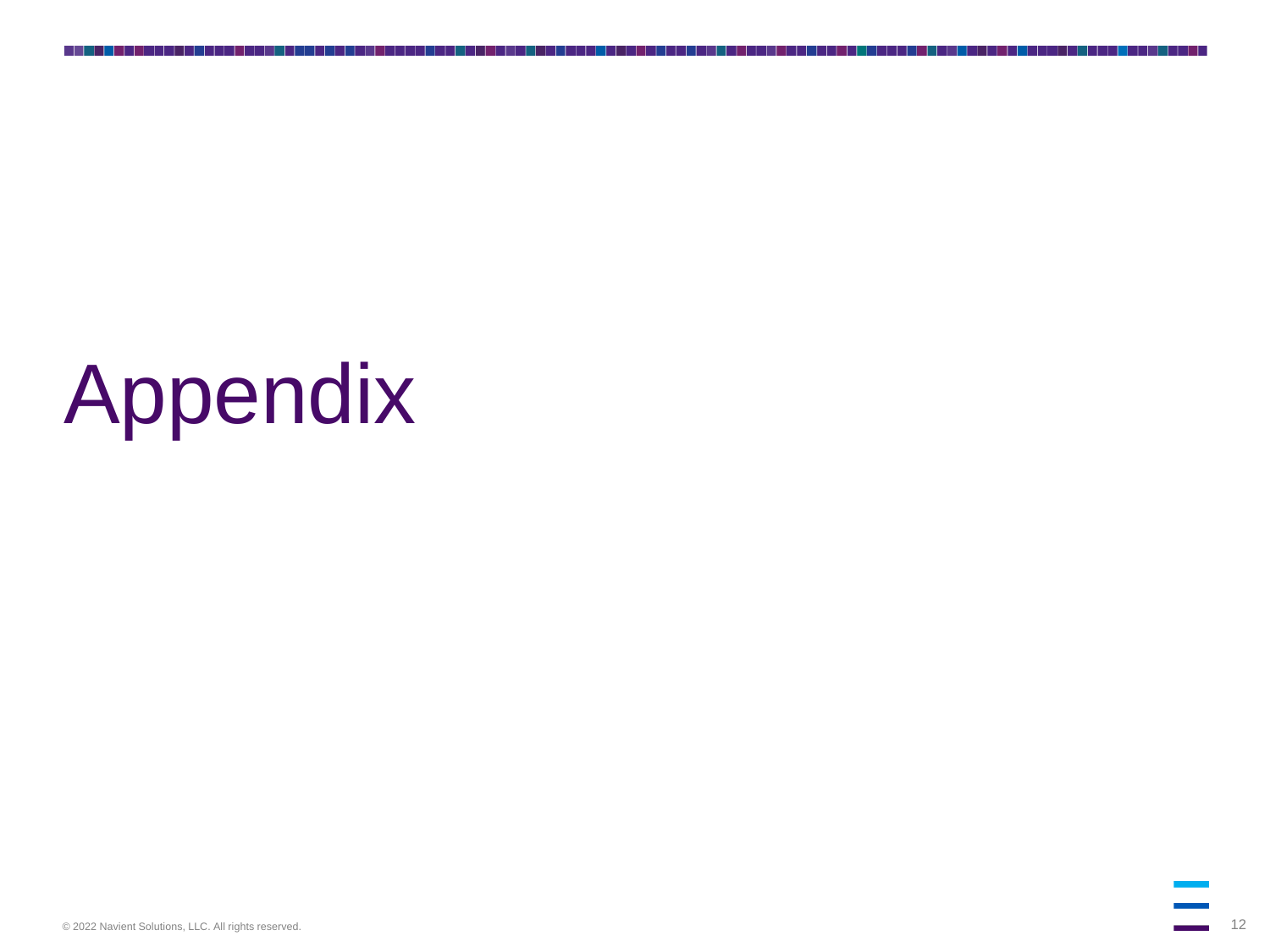# Appendix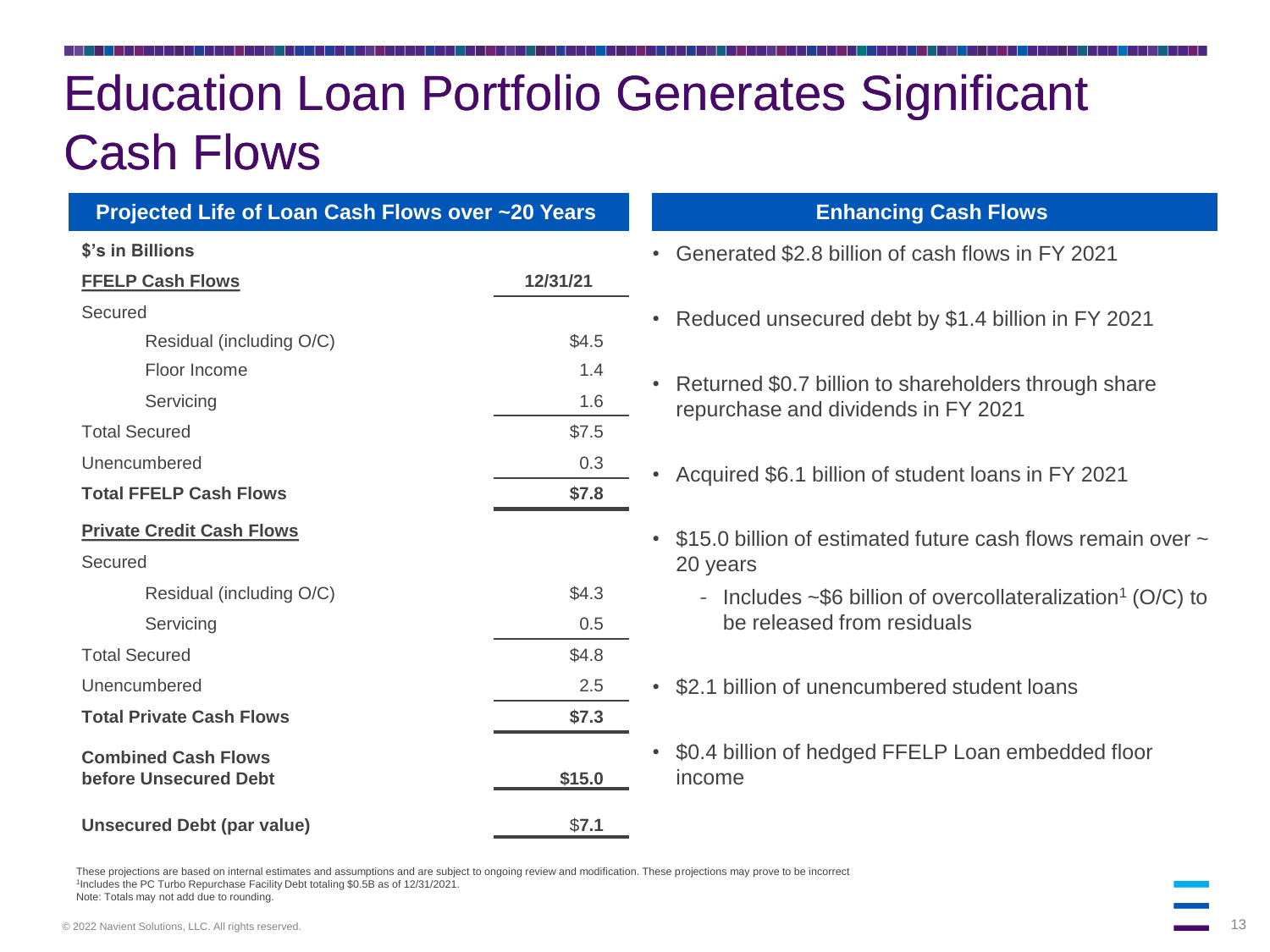## Education Loan Portfolio Generates Significant Cash Flows

| Projected Life of Loan Cash Flows over ~20 Years    |          | <b>Enhancing Cash Flows</b>                                                  |
|-----------------------------------------------------|----------|------------------------------------------------------------------------------|
| \$'s in Billions                                    |          | Generated \$2.8 billion of cash flows in FY 2021<br>$\bullet$                |
| <b>FFELP Cash Flows</b>                             | 12/31/21 |                                                                              |
| Secured                                             |          | Reduced unsecured debt by \$1.4 billion in FY 2021<br>$\bullet$              |
| Residual (including O/C)                            | \$4.5    |                                                                              |
| Floor Income                                        | 1.4      | Returned \$0.7 billion to shareholders through share<br>$\bullet$            |
| Servicing                                           | 1.6      | repurchase and dividends in FY 2021                                          |
| <b>Total Secured</b>                                | \$7.5    |                                                                              |
| Unencumbered                                        | 0.3      | Acquired \$6.1 billion of student loans in FY 2021                           |
| <b>Total FFELP Cash Flows</b>                       | \$7.8    |                                                                              |
| <b>Private Credit Cash Flows</b>                    |          | \$15.0 billion of estimated future cash flows remain over ~                  |
| Secured                                             |          | 20 years                                                                     |
| Residual (including O/C)                            | \$4.3    | - Includes $\sim$ \$6 billion of overcollateralization <sup>1</sup> (O/C) to |
| Servicing                                           | 0.5      | be released from residuals                                                   |
| <b>Total Secured</b>                                | \$4.8    |                                                                              |
| Unencumbered                                        | 2.5      | \$2.1 billion of unencumbered student loans                                  |
| <b>Total Private Cash Flows</b>                     | \$7.3    |                                                                              |
| <b>Combined Cash Flows</b><br>before Unsecured Debt | \$15.0   | \$0.4 billion of hedged FFELP Loan embedded floor<br>income                  |
| <b>Unsecured Debt (par value)</b>                   | \$7.1    |                                                                              |

These projections are based on internal estimates and assumptions and are subject to ongoing review and modification. These projections may prove to be incorrect 1Includes the PC Turbo Repurchase Facility Debt totaling \$0.5B as of 12/31/2021.

Note: Totals may not add due to rounding.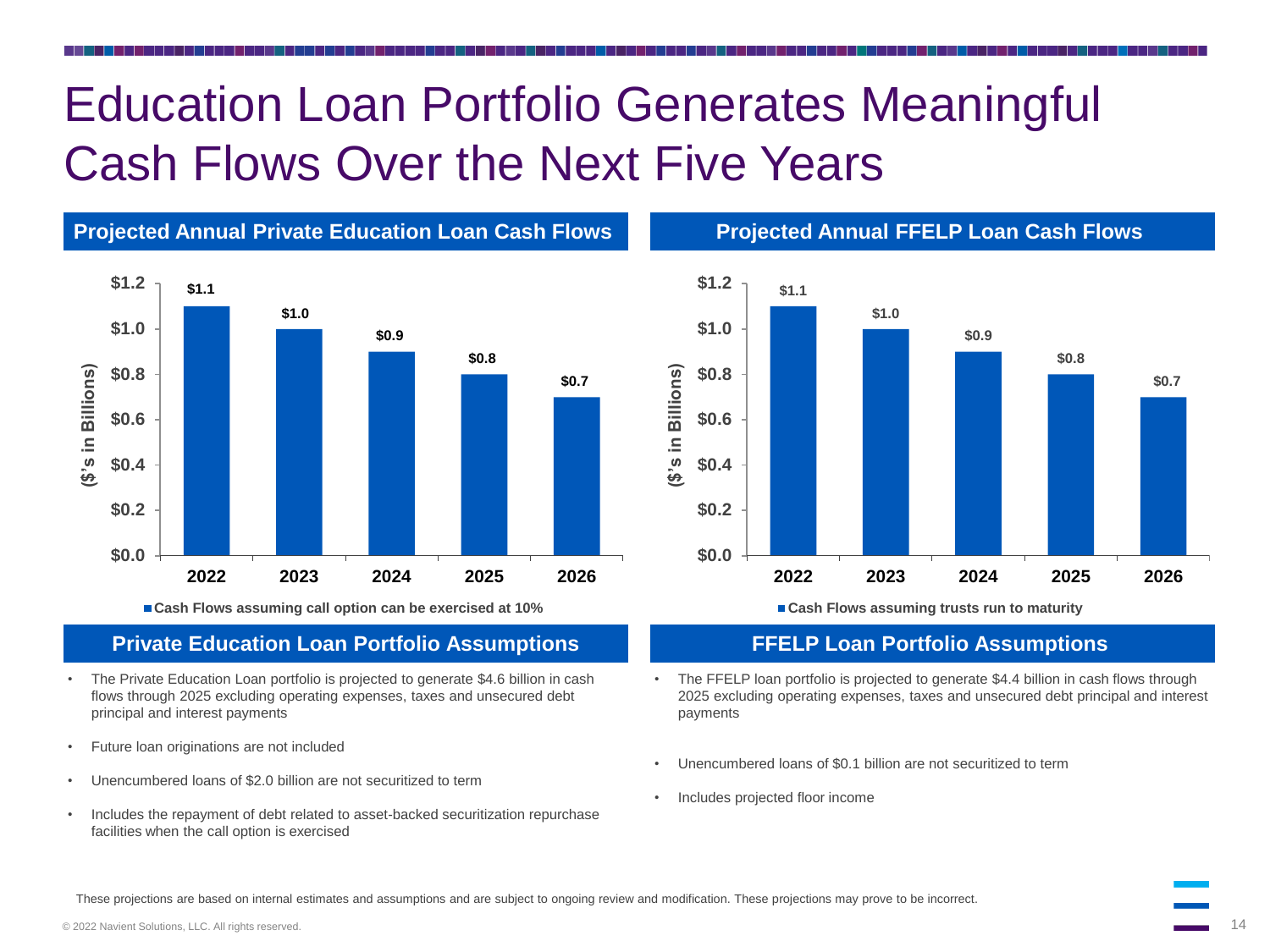## Education Loan Portfolio Generates Meaningful Cash Flows Over the Next Five Years

### **Projected Annual Private Education Loan Cash Flows Projected Annual FFELP Loan Cash Flows**



**Cash Flows assuming call option can be exercised at 10%**

### **Private Education Loan Portfolio Assumptions**

- The Private Education Loan portfolio is projected to generate \$4.6 billion in cash flows through 2025 excluding operating expenses, taxes and unsecured debt principal and interest payments
- Future loan originations are not included
- Unencumbered loans of \$2.0 billion are not securitized to term
- Includes the repayment of debt related to asset-backed securitization repurchase facilities when the call option is exercised



**Cash Flows assuming trusts run to maturity**

### **FFELP Loan Portfolio Assumptions**

- The FFELP loan portfolio is projected to generate \$4.4 billion in cash flows through 2025 excluding operating expenses, taxes and unsecured debt principal and interest payments
- Unencumbered loans of \$0.1 billion are not securitized to term
- Includes projected floor income

These projections are based on internal estimates and assumptions and are subject to ongoing review and modification. These projections may prove to be incorrect.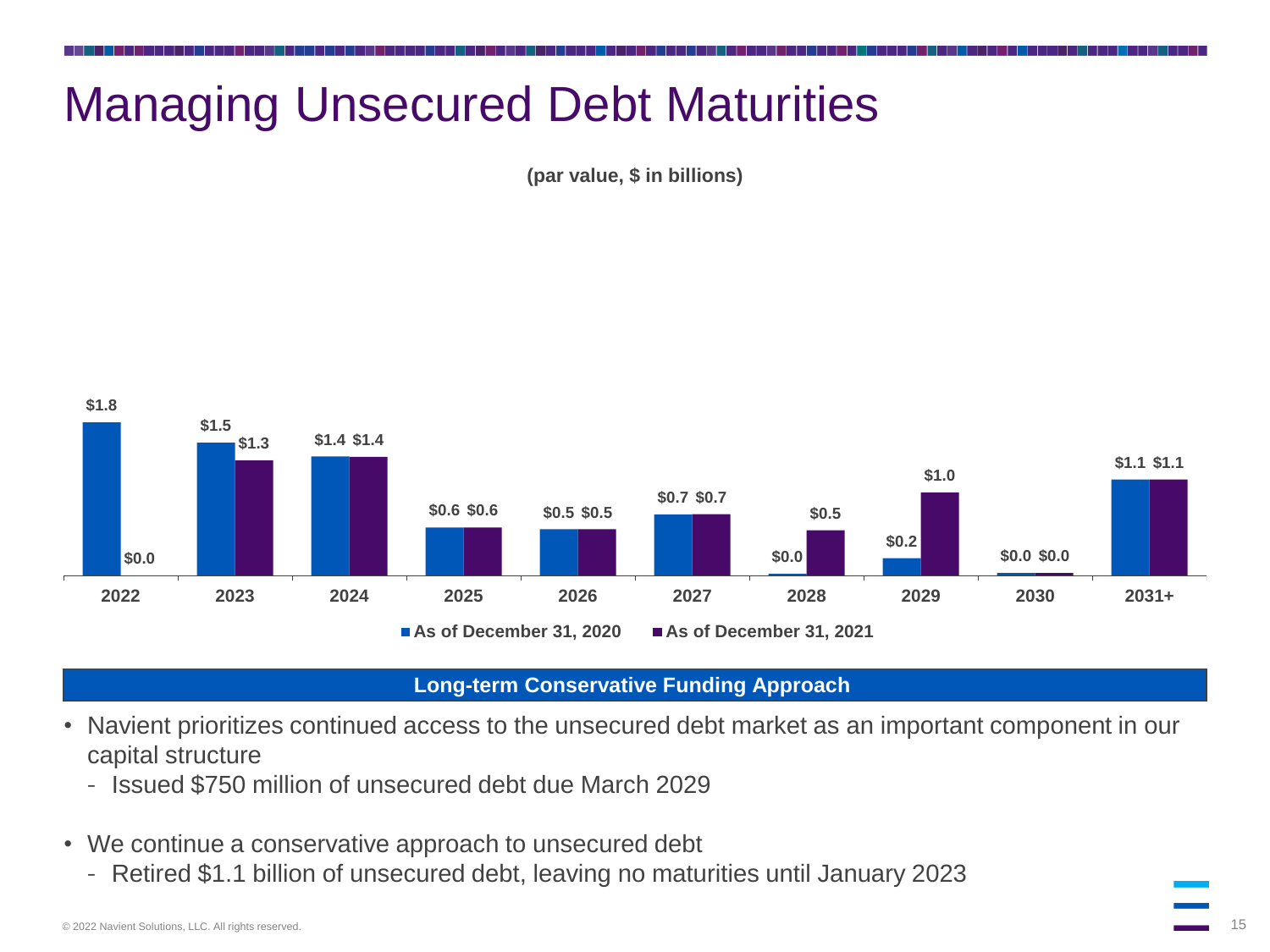## Managing Unsecured Debt Maturities

**(par value, \$ in billions)**



### **Long-term Conservative Funding Approach**

- Navient prioritizes continued access to the unsecured debt market as an important component in our capital structure
	- Issued \$750 million of unsecured debt due March 2029
- We continue a conservative approach to unsecured debt
	- Retired \$1.1 billion of unsecured debt, leaving no maturities until January 2023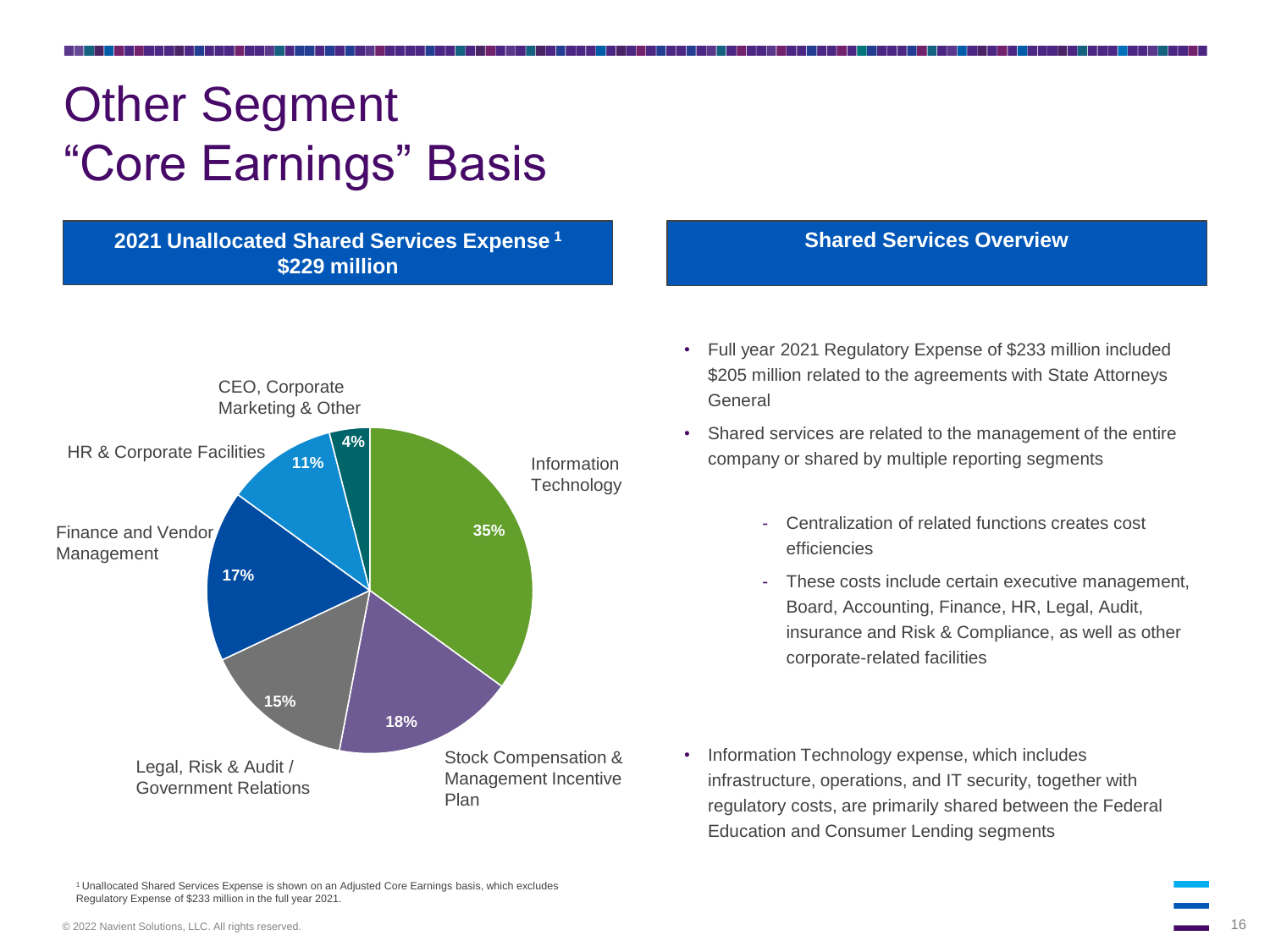## Other Segment "Core Earnings" Basis

### **2021 Unallocated Shared Services Expense <sup>1</sup> \$229 million**



### **Shared Services Overview**

- Full year 2021 Regulatory Expense of \$233 million included \$205 million related to the agreements with State Attorneys General
- Shared services are related to the management of the entire company or shared by multiple reporting segments
	- Centralization of related functions creates cost efficiencies
	- These costs include certain executive management, Board, Accounting, Finance, HR, Legal, Audit, insurance and Risk & Compliance, as well as other corporate-related facilities
- Information Technology expense, which includes infrastructure, operations, and IT security, together with regulatory costs, are primarily shared between the Federal Education and Consumer Lending segments

<sup>1</sup>Unallocated Shared Services Expense is shown on an Adjusted Core Earnings basis, which excludes Regulatory Expense of \$233 million in the full year 2021.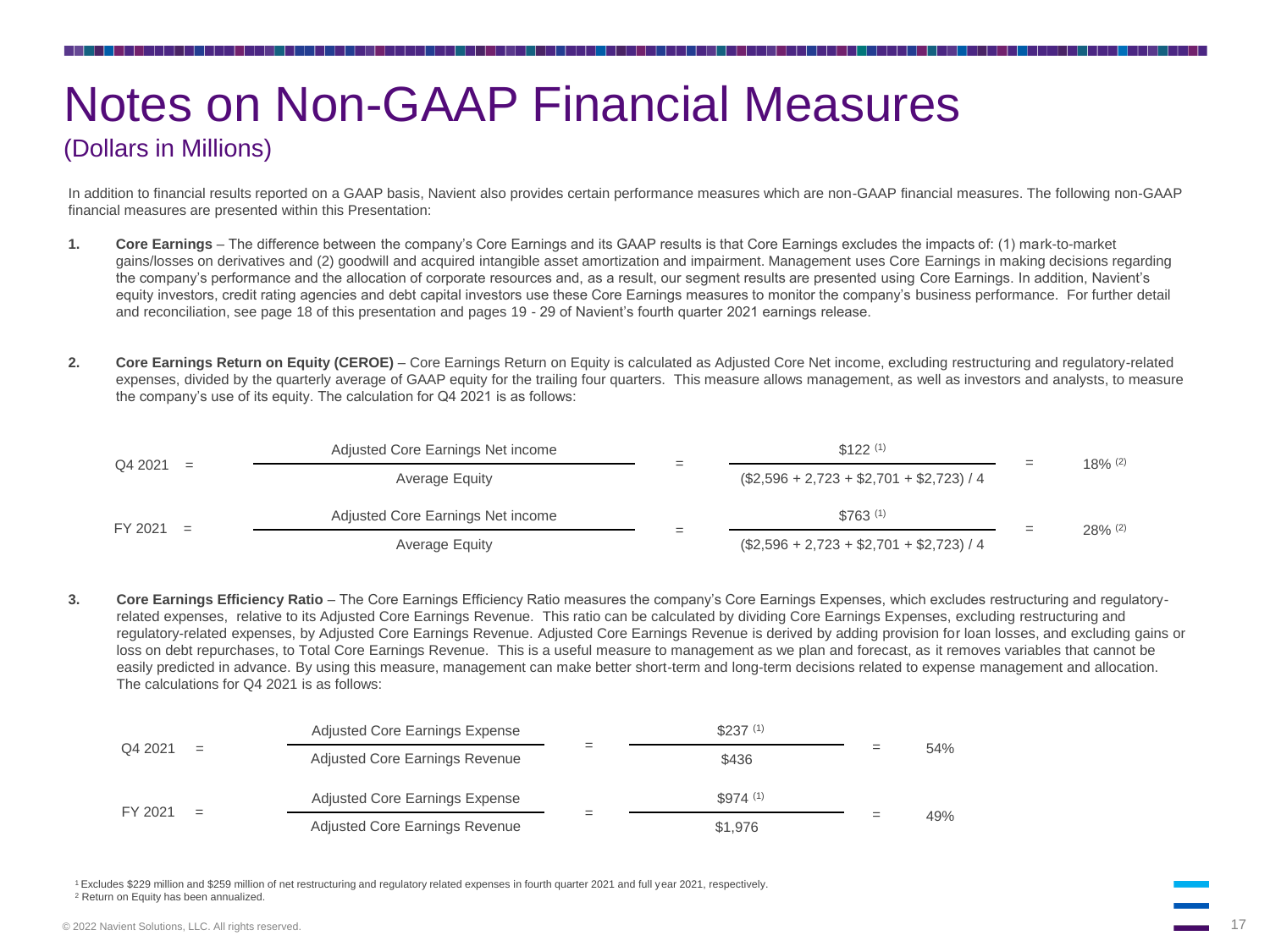## Notes on Non-GAAP Financial Measures (Dollars in Millions)

In addition to financial results reported on a GAAP basis, Navient also provides certain performance measures which are non-GAAP financial measures. The following non-GAAP financial measures are presented within this Presentation:

- **1. Core Earnings** The difference between the company's Core Earnings and its GAAP results is that Core Earnings excludes the impacts of: (1) mark-to-market gains/losses on derivatives and (2) goodwill and acquired intangible asset amortization and impairment. Management uses Core Earnings in making decisions regarding the company's performance and the allocation of corporate resources and, as a result, our segment results are presented using Core Earnings. In addition, Navient's equity investors, credit rating agencies and debt capital investors use these Core Earnings measures to monitor the company's business performance. For further detail and reconciliation, see page 18 of this presentation and pages 19 - 29 of Navient's fourth quarter 2021 earnings release.
- **2. Core Earnings Return on Equity (CEROE)** Core Earnings Return on Equity is calculated as Adjusted Core Net income, excluding restructuring and regulatory-related expenses, divided by the quarterly average of GAAP equity for the trailing four quarters. This measure allows management, as well as investors and analysts, to measure the company's use of its equity. The calculation for Q4 2021 is as follows:

|         |     | Adjusted Core Earnings Net income | \$122(1)                                 | $18\%$ (2)            |
|---------|-----|-----------------------------------|------------------------------------------|-----------------------|
| Q4 2021 | $=$ | Average Equity                    | $($2,596 + 2,723 + $2,701 + $2,723) / 4$ |                       |
| FY 2021 | $=$ | Adjusted Core Earnings Net income | \$763 <sup>(1)</sup>                     | $28\%$ <sup>(2)</sup> |
|         |     | Average Equity                    | $($2,596 + 2,723 + $2,701 + $2,723) / 4$ |                       |

**3. Core Earnings Efficiency Ratio** – The Core Earnings Efficiency Ratio measures the company's Core Earnings Expenses, which excludes restructuring and regulatoryrelated expenses, relative to its Adjusted Core Earnings Revenue. This ratio can be calculated by dividing Core Earnings Expenses, excluding restructuring and regulatory-related expenses, by Adjusted Core Earnings Revenue. Adjusted Core Earnings Revenue is derived by adding provision for loan losses, and excluding gains or loss on debt repurchases, to Total Core Earnings Revenue. This is a useful measure to management as we plan and forecast, as it removes variables that cannot be easily predicted in advance. By using this measure, management can make better short-term and long-term decisions related to expense management and allocation. The calculations for Q4 2021 is as follows:

|         |     | <b>Adjusted Core Earnings Expense</b> | \$237(1)   |     |     |
|---------|-----|---------------------------------------|------------|-----|-----|
| Q4 2021 | $=$ | Adjusted Core Earnings Revenue        | \$436      |     | 54% |
| FY 2021 | $=$ | <b>Adjusted Core Earnings Expense</b> | $$974$ (1) |     |     |
|         |     | <b>Adjusted Core Earnings Revenue</b> | \$1,976    | $=$ | 49% |

<sup>1</sup>Excludes \$229 million and \$259 million of net restructuring and regulatory related expenses in fourth quarter 2021 and full year 2021, respectively. <sup>2</sup> Return on Equity has been annualized.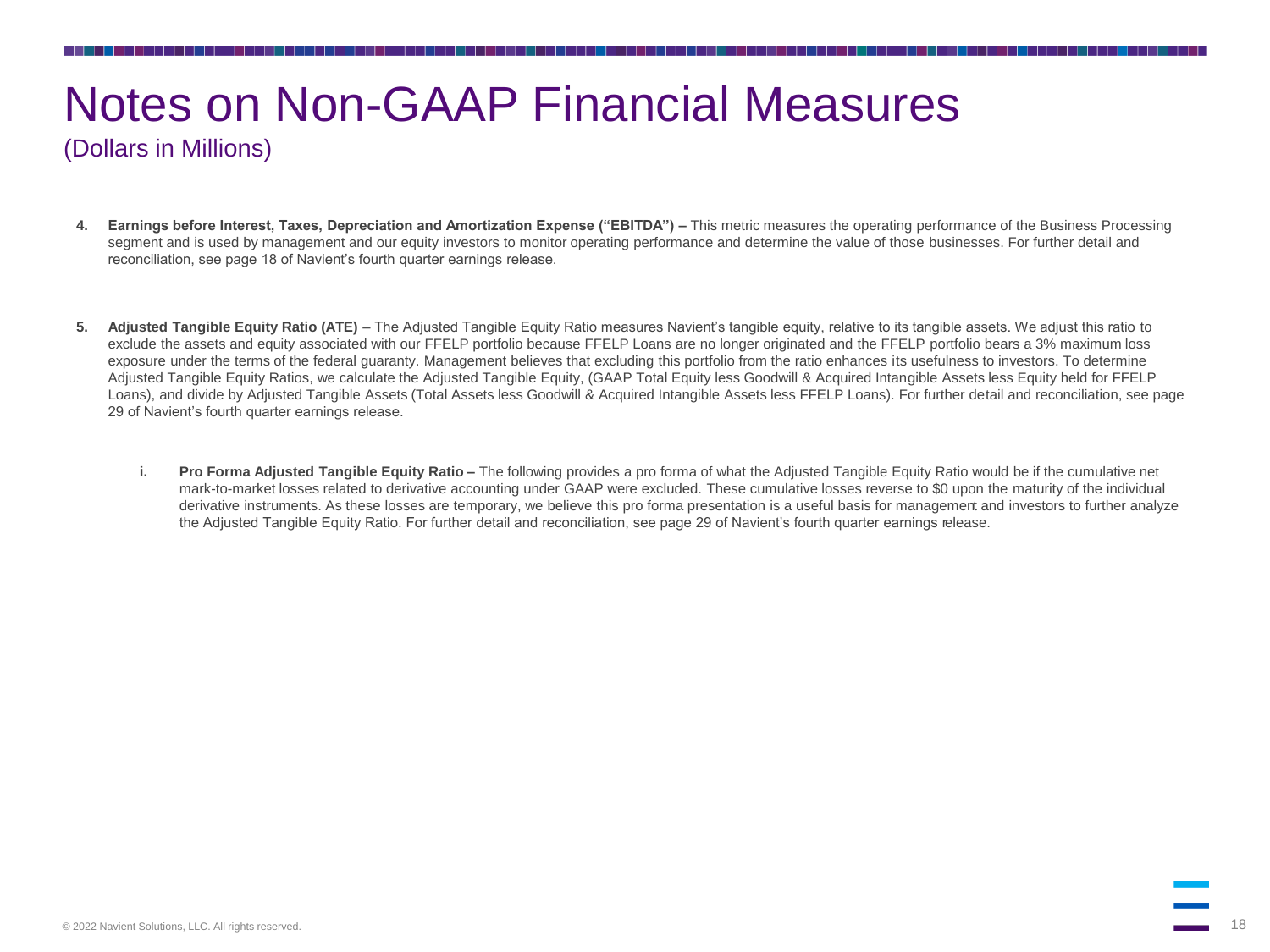## Notes on Non-GAAP Financial Measures

### (Dollars in Millions)

- **4. Earnings before Interest, Taxes, Depreciation and Amortization Expense ("EBITDA") –** This metric measures the operating performance of the Business Processing segment and is used by management and our equity investors to monitor operating performance and determine the value of those businesses. For further detail and reconciliation, see page 18 of Navient's fourth quarter earnings release.
- **5.** Adjusted Tangible Equity Ratio (ATE) The Adjusted Tangible Equity Ratio measures Navient's tangible equity, relative to its tangible assets. We adjust this ratio to exclude the assets and equity associated with our FFELP portfolio because FFELP Loans are no longer originated and the FFELP portfolio bears a 3% maximum loss exposure under the terms of the federal guaranty. Management believes that excluding this portfolio from the ratio enhances its usefulness to investors. To determine Adjusted Tangible Equity Ratios, we calculate the Adjusted Tangible Equity, (GAAP Total Equity less Goodwill & Acquired Intangible Assets less Equity held for FFELP Loans), and divide by Adjusted Tangible Assets (Total Assets less Goodwill & Acquired Intangible Assets less FFELP Loans). For further detail and reconciliation, see page 29 of Navient's fourth quarter earnings release.
	- **i.** Pro Forma Adjusted Tangible Equity Ratio The following provides a pro forma of what the Adjusted Tangible Equity Ratio would be if the cumulative net mark-to-market losses related to derivative accounting under GAAP were excluded. These cumulative losses reverse to \$0 upon the maturity of the individual derivative instruments. As these losses are temporary, we believe this pro forma presentation is a useful basis for management and investors to further analyze the Adjusted Tangible Equity Ratio. For further detail and reconciliation, see page 29 of Navient's fourth quarter earnings release.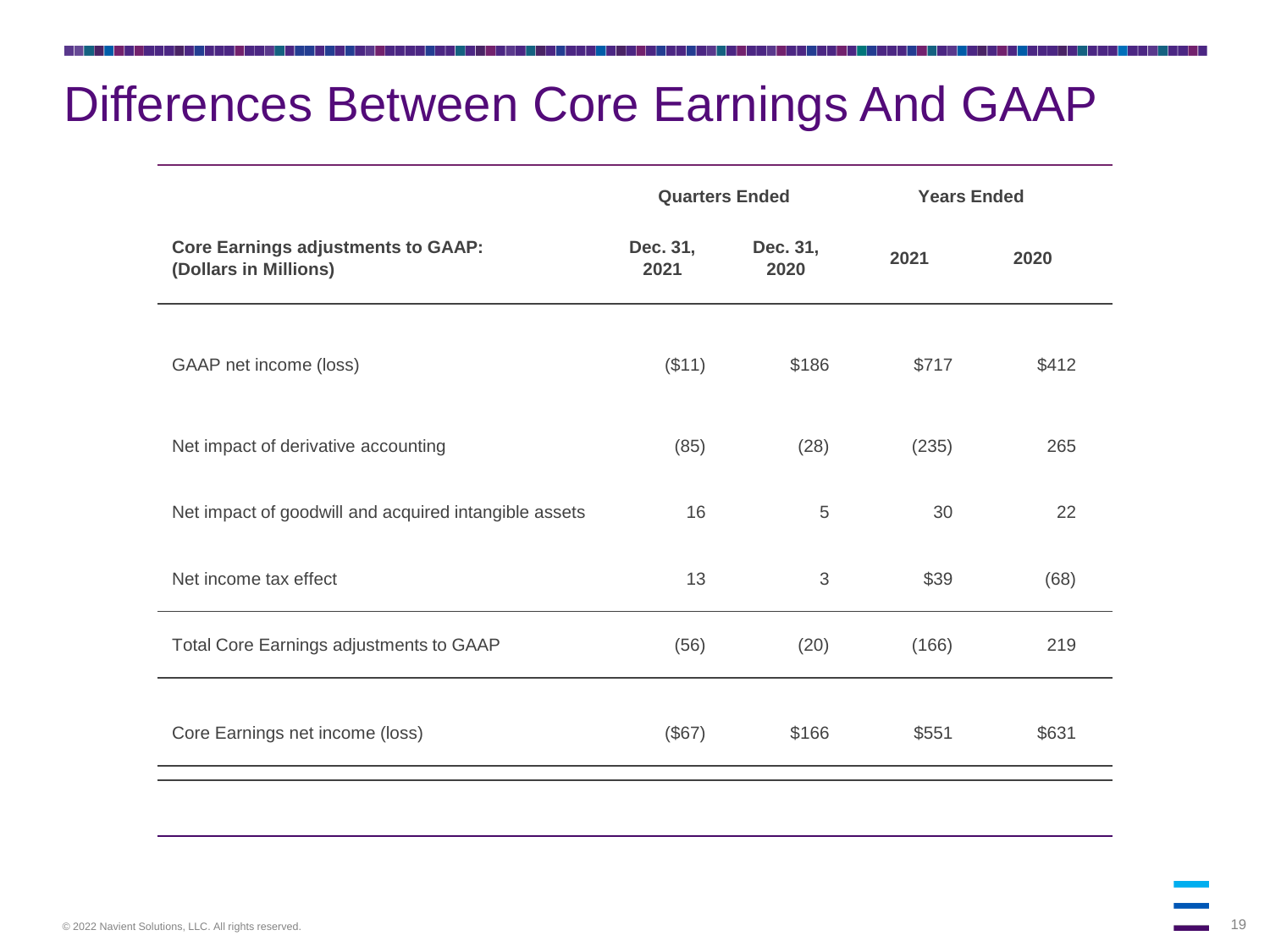## Differences Between Core Earnings And GAAP

|                                                                    | <b>Quarters Ended</b> |                  | <b>Years Ended</b> |       |
|--------------------------------------------------------------------|-----------------------|------------------|--------------------|-------|
| <b>Core Earnings adjustments to GAAP:</b><br>(Dollars in Millions) | Dec. 31,<br>2021      | Dec. 31,<br>2020 | 2021               | 2020  |
| GAAP net income (loss)                                             | (\$11)                | \$186            | \$717              | \$412 |
| Net impact of derivative accounting                                | (85)                  | (28)             | (235)              | 265   |
| Net impact of goodwill and acquired intangible assets              | 16                    | 5                | 30                 | 22    |
| Net income tax effect                                              | 13                    | 3                | \$39               | (68)  |
| Total Core Earnings adjustments to GAAP                            | (56)                  | (20)             | (166)              | 219   |
| Core Earnings net income (loss)                                    | (\$67)                | \$166            | \$551              | \$631 |
|                                                                    |                       |                  |                    |       |